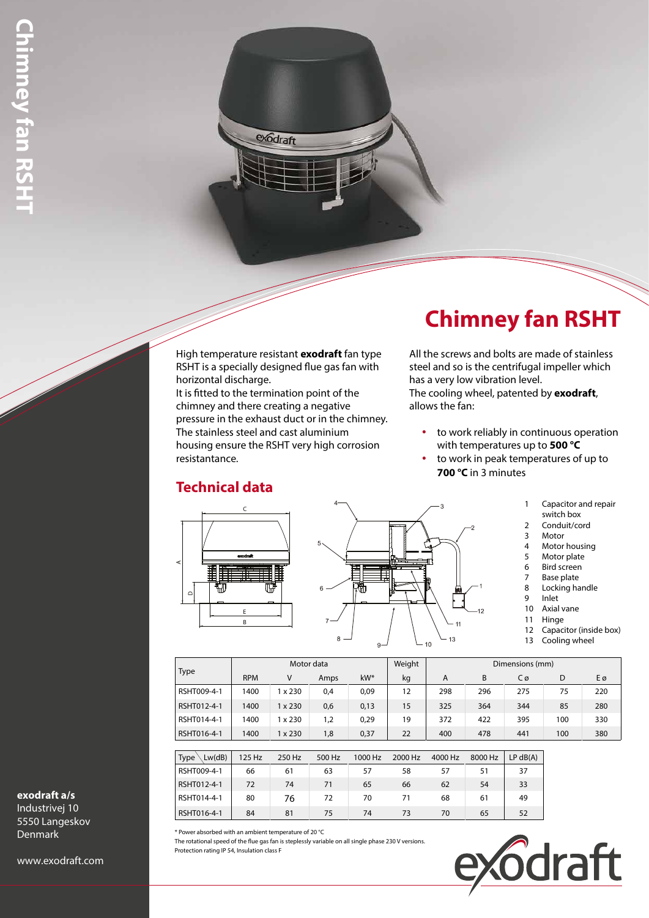High temperature resistant **exodraft** fan type RSHT is a specially designed flue gas fan with horizontal discharge. It is fitted to the termination point of the chimney and there creating a negative pressure in the exhaust duct or in the chimney. The stainless steel and cast aluminium housing ensure the RSHT very high corrosion resistantance.

exodraft

# **Chimney fan RSHT**

All the screws and bolts are made of stainless steel and so is the centrifugal impeller which has a very low vibration level. The cooling wheel, patented by **exodraft**, allows the fan:

- to work reliably in continuous operation with temperatures up to **500 °C**
- to work in peak temperatures of up to **700 °C** in 3 minutes
	- 1 Capacitor and repair
	- switch box
	- 2 Conduit/cord 3 Motor
	-
	- 4 Motor housing<br>5 Motor plate
	- 5 Motor plate<br>6 Bird screen Bird screen
	- 7 Base plate
	- 8 Locking handle
	- 9 Inlet
	- 10 Axial vane
	- 11 Hinge
	- 12 Capacitor (inside box) 13 Cooling wheel

| $\prec$<br>$\Omega$                                                                                                                                                                                        | E<br>B     | Œ₹      | 6<br>$8 -$ | 滯<br>$9 -$ |         | 11<br>13<br>10 | 12      | 6<br>7<br>8<br>9<br>10<br>11<br>12<br>13 | Bird screen<br>Base plate<br>Locking handle<br>Inlet<br>Axial vane<br>Hinge<br>Cooling wheel | Capacitor (inside box) |
|------------------------------------------------------------------------------------------------------------------------------------------------------------------------------------------------------------|------------|---------|------------|------------|---------|----------------|---------|------------------------------------------|----------------------------------------------------------------------------------------------|------------------------|
|                                                                                                                                                                                                            |            |         | Motor data |            | Weight  |                |         | Dimensions (mm)                          |                                                                                              |                        |
| <b>Type</b>                                                                                                                                                                                                | <b>RPM</b> | V       | Amps       | kW*        | kg      | A              | B       | $C\varnothing$                           | D                                                                                            | Eø                     |
| RSHT009-4-1                                                                                                                                                                                                | 1400       | 1 x 230 | 0,4        | 0,09       | 12      | 298            | 296     | 275                                      | 75                                                                                           | 220                    |
| RSHT012-4-1                                                                                                                                                                                                | 1400       | 1 x 230 | 0,6        | 0,13       | 15      | 325            | 364     | 344                                      | 85                                                                                           | 280                    |
| RSHT014-4-1                                                                                                                                                                                                | 1400       | 1 x 230 | 1,2        | 0,29       | 19      | 372            | 422     | 395                                      | 100                                                                                          | 330                    |
| RSHT016-4-1                                                                                                                                                                                                | 1400       | 1 x 230 | 1,8        | 0,37       | 22      | 400            | 478     | 441                                      | 100                                                                                          | 380                    |
|                                                                                                                                                                                                            |            |         |            |            |         |                |         |                                          |                                                                                              |                        |
| Lw(dB)<br>Type $\setminus$                                                                                                                                                                                 | 125 Hz     | 250 Hz  | 500 Hz     | 1000 Hz    | 2000 Hz | 4000 Hz        | 8000 Hz | LP dB(A)                                 |                                                                                              |                        |
| RSHT009-4-1                                                                                                                                                                                                | 66         | 61      | 63         | 57         | 58      | 57             | 51      | 37                                       |                                                                                              |                        |
| RSHT012-4-1                                                                                                                                                                                                | 72         | 74      | 71         | 65         | 66      | 62             | 54      | 33                                       |                                                                                              |                        |
| RSHT014-4-1                                                                                                                                                                                                | 80         | 76      | 72         | 70         | 71      | 68             | 61      | 49                                       |                                                                                              |                        |
| RSHT016-4-1                                                                                                                                                                                                | 84         | 81      | 75         | 74         | 73      | 70             | 65      | 52                                       |                                                                                              |                        |
| * Power absorbed with an ambient temperature of 20 °C<br>The rotational speed of the flue gas fan is steplessly variable on all single phase 230V versions.<br>Protection rating IP 54, Insulation class F |            |         |            |            |         |                |         |                                          |                                                                                              |                        |

| Type<br>Lw(dB) | 125 Hz | 250 Hz | 500 Hz | 1000 Hz | 2000 Hz | 4000 Hz | 8000 Hz | $LP$ dB $(A)$ |
|----------------|--------|--------|--------|---------|---------|---------|---------|---------------|
| RSHT009-4-1    | 66     | 61     | 63     | 57      | 58      | 57      | 51      | 37            |
| RSHT012-4-1    | 72     | 74     | 71     | 65      | 66      | 62      | 54      | 33            |
| RSHT014-4-1    | 80     | 76     | 72     | 70      | 71      | 68      | 61      | 49            |
| RSHT016-4-1    | 84     | 81     | 75     | 74      | 73      | 70      | 65      | 52            |

**exodraft a/s**

Industrivej 10 5550 Langeskov Denmark

www.exodraft.com

draft

## **Technical data**







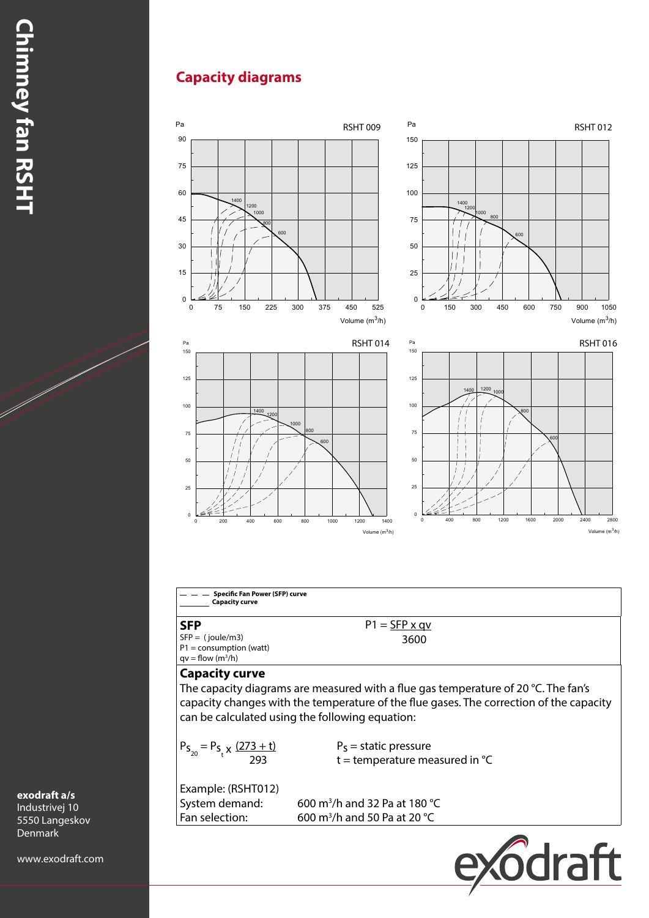## **Capacity diagrams**



**exodraft a/s**

Industrivej 10 5550 Langeskov Denmark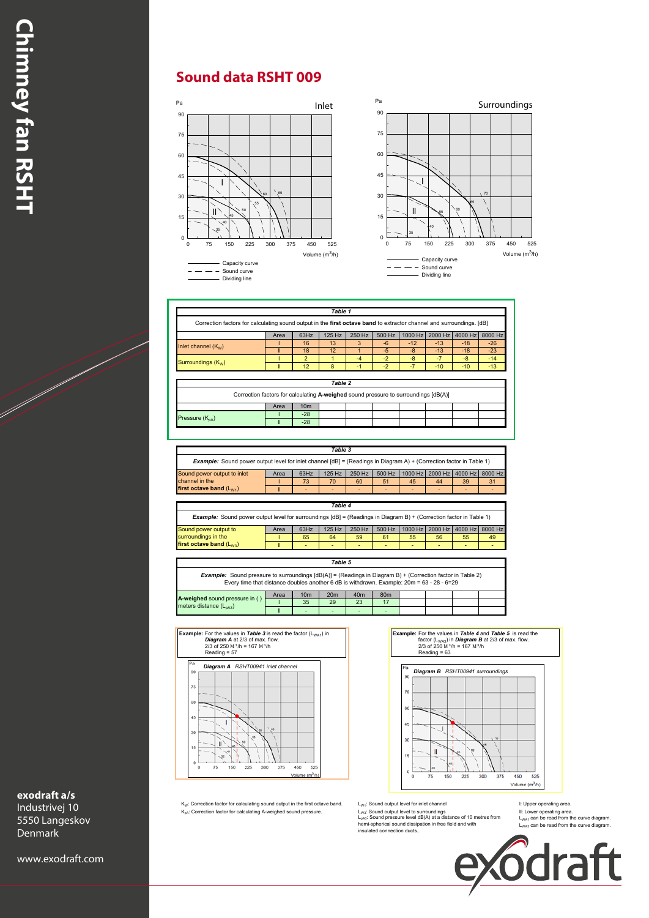## **Sound data RSHT 009**



|                                                                                                                              |                                                                                     |                 | Table 1      |              |        |         |         |         |               |
|------------------------------------------------------------------------------------------------------------------------------|-------------------------------------------------------------------------------------|-----------------|--------------|--------------|--------|---------|---------|---------|---------------|
| Correction factors for calculating sound output in the first octave band to extractor channel and surroundings. [dB]         |                                                                                     |                 |              |              |        |         |         |         |               |
|                                                                                                                              | Area                                                                                | 63Hz            | 125 Hz       | 250 Hz       | 500 Hz | 1000 Hz | 2000 Hz | 4000 Hz | 8000 Hz       |
| Inlet channel $(K_w)$                                                                                                        |                                                                                     | 16              | 13           | 3            | $-6$   | $-12$   | $-13$   | $-18$   | $-26$         |
|                                                                                                                              | Ш                                                                                   | 18              | 12           | $\mathbf{1}$ | $-5$   | $-8$    | $-13$   | $-18$   | $-23$         |
| Surroundings (K <sub>w</sub> )                                                                                               |                                                                                     | $\overline{2}$  | $\mathbf{1}$ | $-4$         | $-2$   | $-8$    | $-7$    | $-8$    | $-14$         |
|                                                                                                                              | $\mathbf{II}$                                                                       | 12              | 8            | $-1$         | $-2$   | $-7$    | $-10$   | $-10$   | $-13$         |
|                                                                                                                              |                                                                                     |                 | Table 2      |              |        |         |         |         |               |
|                                                                                                                              | Correction factors for calculating A-weighed sound pressure to surroundings [dB(A)] |                 |              |              |        |         |         |         |               |
|                                                                                                                              |                                                                                     |                 |              |              |        |         |         |         |               |
|                                                                                                                              | Area                                                                                | 10 <sub>m</sub> |              |              |        |         |         |         |               |
|                                                                                                                              |                                                                                     |                 |              |              |        |         |         |         |               |
|                                                                                                                              | $\mathbf{I}$                                                                        | $-28$<br>$-28$  |              |              |        |         |         |         |               |
| Pressure (K <sub>nA</sub> )                                                                                                  |                                                                                     |                 |              |              |        |         |         |         |               |
|                                                                                                                              |                                                                                     |                 | Table 3      |              |        |         |         |         |               |
| <b>Example:</b> Sound power output level for inlet channel $[dB] = (Readings in Diagram A) + (Correction factor in Table 1)$ |                                                                                     |                 |              |              |        |         |         |         |               |
| Sound power output to inlet                                                                                                  | Area                                                                                | 63Hz            | 125 Hz       | 250 Hz       | 500 Hz | 1000 Hz | 2000 Hz | 4000 Hz |               |
| channel in the                                                                                                               |                                                                                     | 73              | 70           | 60           | 51     | 45      | 44      | 39      |               |
| first octave band $(L_{W1})$                                                                                                 | $\mathbf{II}$                                                                       |                 |              |              |        |         |         |         |               |
|                                                                                                                              |                                                                                     |                 |              |              |        |         |         |         |               |
|                                                                                                                              |                                                                                     |                 | Table 4      |              |        |         |         |         |               |
| Example: Sound power output level for surroundings [dB] = (Readings in Diagram B) + (Correction factor in Table 1)           |                                                                                     |                 |              |              |        |         |         |         | 8000 Hz<br>31 |
| Sound power output to                                                                                                        | Area                                                                                | 63Hz            | 125 Hz       | 250 Hz       | 500 Hz | 1000 Hz | 2000 Hz | 4000 Hz | 8000 Hz       |
| surroundings in the<br>first octave band (L <sub>W3</sub> )                                                                  |                                                                                     | 65              | 64           | 59           | 61     | 55      | 56      | 55      | 49            |

Correction factors for calculating sound output in the **first octave band** to extractor channel and surroundings. [dB]

ll - - - - - - - - *Table 5* Example: Sound pressure to surroundings [dB(A)] = (Readings in Diagram B) + (Correction factor in Table 2)<br>Every time that distance doubles another 6 dB is withdrawn. Example: 20m = 63 - 28 - 6=29

| A-weighed sound pressure in (      | Area | 10 <sub>m</sub>          | 20 <sub>m</sub> | 40m | 80 <sub>m</sub>          |  |  |
|------------------------------------|------|--------------------------|-----------------|-----|--------------------------|--|--|
| meters distance $(L_{\text{pA3}})$ |      | 35                       | 29              | 23  |                          |  |  |
|                                    |      | $\overline{\phantom{0}}$ |                 | -   | $\overline{\phantom{0}}$ |  |  |
|                                    |      |                          |                 |     |                          |  |  |



**Example:** For the values in *Table 4* and *Table 5* is read the factor (L<sub>WA3</sub>) in *Diagram B* at 2/3 of max. flow.<br>
2/3 of 250 M<sup>3</sup>/h = 167 M<sup>3</sup>/h Reading = 63



K<sub>w</sub>: Correction factor for calculating sound output in the first octave band. Letty: Sound output level for inlet channel states in the poper operating area.<br>K<sub>ow</sub>: Correction factor for calculating A-weighed sound press

L<sub>pA3</sub>: Sound pressure level dB(A) at a distance of 10 metres from<br>hemi-spherical sound dissipation in free field and with<br>insulated connection ducts..

 $L_{WA1}$  can be read from the curve diagram.<br> $L_{WA3}$  can be read from the curve diagram.



#### **exodraft a/s** Industrivej 10

5550 Langeskov Denmark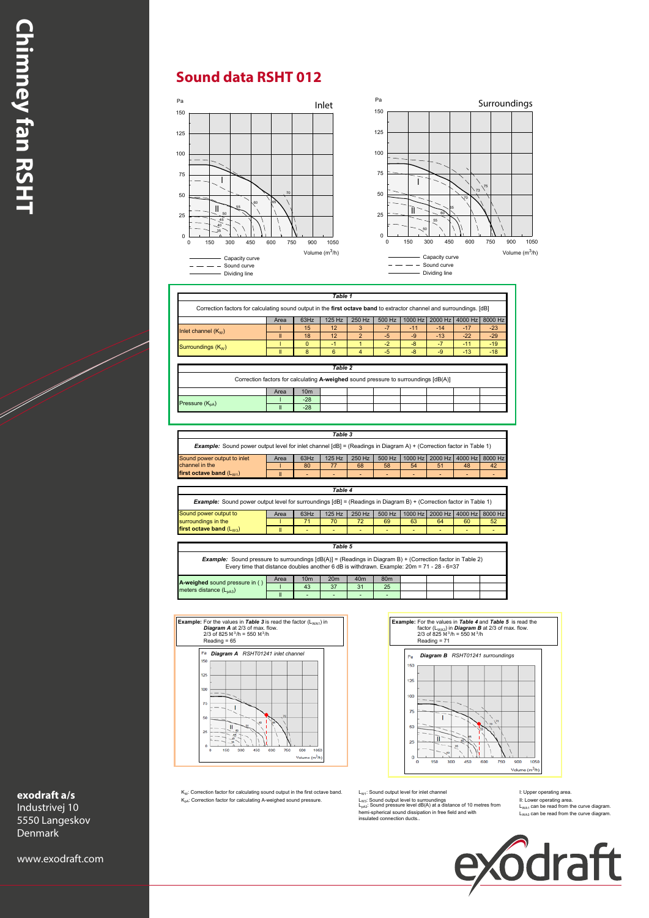## **Sound data RSHT 012**



|                                | Area                                                                                | 63Hz            | 125 Hz         | 250 Hz         | 500 Hz | 1000 Hz | 2000 Hz 4000 Hz 8000 Hz |       |
|--------------------------------|-------------------------------------------------------------------------------------|-----------------|----------------|----------------|--------|---------|-------------------------|-------|
| Inlet channel $(K_w)$          |                                                                                     | 15              | 12             | 3              | $-7$   | $-11$   | $-14$                   | $-17$ |
|                                |                                                                                     | 18              | 12             | $\overline{2}$ | $-5$   | $-9$    | $-13$                   | $-22$ |
| Surroundings (K <sub>w</sub> ) |                                                                                     | $\Omega$        | $-1$           |                | $-2$   | $-8$    | $-7$                    | $-11$ |
|                                | Ш                                                                                   | 8               | 6              | 4              | $-5$   | $-8$    | $-9$                    | $-13$ |
|                                |                                                                                     |                 |                |                |        |         |                         |       |
|                                |                                                                                     |                 | <b>Table 2</b> |                |        |         |                         |       |
|                                | Correction factors for calculating A-weighed sound pressure to surroundings [dB(A)] |                 |                |                |        |         |                         |       |
|                                | Area                                                                                | 10 <sub>m</sub> |                |                |        |         |                         |       |
| Pressure $(K_{nA})$            |                                                                                     | $-28$           |                |                |        |         |                         |       |

|                                                                                                                              |      |      | Table 3  |        |        |    |                                 |    |    |
|------------------------------------------------------------------------------------------------------------------------------|------|------|----------|--------|--------|----|---------------------------------|----|----|
| <b>Example:</b> Sound power output level for inlet channel $[dB] = (Readings in Diagram A) + (Correction factor in Table 1)$ |      |      |          |        |        |    |                                 |    |    |
| Sound power output to inlet                                                                                                  | Area | 63Hz | $125$ Hz | 250 Hz | 500 Hz |    | 1000 Hz 2000 Hz 4000 Hz 8000 Hz |    |    |
| channel in the                                                                                                               |      | 80   |          | 68     | 58     | 54 | 51                              | 48 | 42 |
| first octave band $(L_{W1})$                                                                                                 |      |      |          |        |        |    |                                 |    |    |

|                                                                                                                             |      |      | Table 4 |        |        |    |                                 |    |    |  |  |
|-----------------------------------------------------------------------------------------------------------------------------|------|------|---------|--------|--------|----|---------------------------------|----|----|--|--|
| <b>Example:</b> Sound power output level for surroundings $[dB] = (Readings in Diagram B) + (Correction factor in Table 1)$ |      |      |         |        |        |    |                                 |    |    |  |  |
| Sound power output to                                                                                                       | Area | 63Hz | 125 Hz  | 250 Hz | 500 Hz |    | 1000 Hz 2000 Hz 4000 Hz 8000 Hz |    |    |  |  |
| surroundings in the                                                                                                         |      |      | 70      |        | 69     | 63 | 64                              | 60 | 52 |  |  |
| first octave band (L <sub>W3</sub> )                                                                                        | Ш    |      |         |        |        |    |                                 |    |    |  |  |

 $Table 5$ ll - - - - - - - - *Table 5* A-weighed sound pressure in ()  $\begin{array}{|c|c|c|c|c|c|}\n\hline\n1.43 & 37 & 31 & 25 \\
\hline\nmeters distance & (L_{pA3}) & & & \\
\hline\n\end{array}$ surroundings in the Example: Sound pressure to surroundings [dB(A)] = (Readings in Diagram B) + (Correction factor in Table 2)<br>Every time that distance doubles another 6 dB is withdrawn. Example: 20m = 71 - 28 - 6=37 Area 10m 20m 40m 80m<br>1 43 37 31 25 l 43 37 31 25 ll  $\vert$  -  $\vert$  -  $\vert$  -  $\vert$  -  $\vert$  -  $\vert$ *Table 5*

Example: For the values in Table 3 is read the factor  $(1 \nvert \nvert)$  in **Example:** For the values in *Table 3* is read the factor (L<sub>WA1</sub>) in<br> *Diagram A at 2/3* of max. flow.<br>  $2/3$  of 825 M<sup>3</sup>/h = 550 M<sup>3</sup>/h<br>
Reading = 65 *Diagram A RSHT01241 inlet channel* ÿ,  $\overline{1}$ kn.  $\mathbf{u}$ 900 000 1050<br>Volume (m<sup>3</sup>/h)





K<sub>W</sub>: Correction factor for calculating sound output in the first octave band. LW<sub>1</sub>: Sound output level for inlet channel I: Upper operating area.

K<sub>pA</sub>: Correction factor for calculating A-weighed sound pressure. Logic Sound output level to surroundings on and the ulticower operating area.<br>L<sub>pA3</sub>: Sound pressure level dB(A) at a distance of 10 metres from the Logic hemi-spherical sound dissipation in free field and with insulated connection ducts..

 $L_{WA1}$  can be read from the curve diagram.<br> $L_{WA3}$  can be read from the curve diagram.



#### **exodraft a/s** Industrivej 10

5550 Langeskov Denmark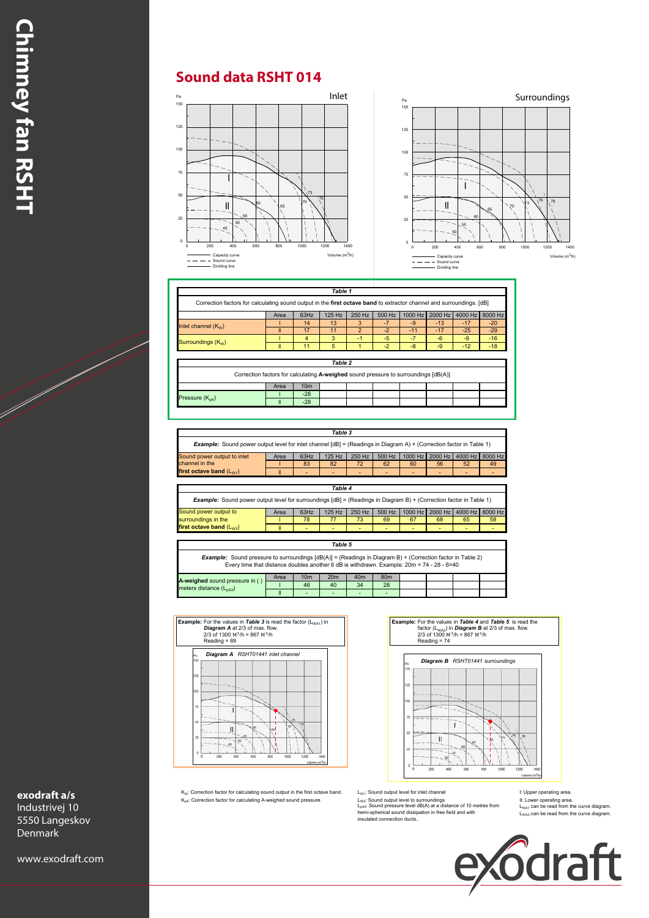### **Sound data RSHT 014**



|                       | Area                                                                                | 63Hz            | 125 Hz  | 250 Hz        | 500 Hz | 1000 Hz | 2000 Hz | 4000 Hz | 8000 Hz |
|-----------------------|-------------------------------------------------------------------------------------|-----------------|---------|---------------|--------|---------|---------|---------|---------|
| Inlet channel $(K_w)$ |                                                                                     | 14              | 13      | 3             | $-7$   | $-9$    | $-13$   | $-17$   | $-20$   |
|                       | Ш                                                                                   | 17              | 11      | $\mathcal{P}$ | $-2$   | $-11$   | $-17$   | $-25$   | $-29$   |
| Surroundings $(K_w)$  |                                                                                     | 4               | 3       | -1            | $-5$   | $-7$    | $-6$    | $-9$    | $-16$   |
|                       | Ш                                                                                   | 11              | 5       |               | $-2$   | $-8$    | $-9$    | $-12$   | $-18$   |
|                       |                                                                                     |                 | Table 2 |               |        |         |         |         |         |
|                       |                                                                                     |                 |         |               |        |         |         |         |         |
|                       | Correction factors for calculating A-weighed sound pressure to surroundings [dB(A)] |                 |         |               |        |         |         |         |         |
|                       | Area                                                                                | 10 <sub>m</sub> |         |               |        |         |         |         |         |
| Pressure $(K_{nA})$   |                                                                                     | $-28$           |         |               |        |         |         |         |         |

|                                                                                                                              |      |      | Table 3      |        |        |                          |                 |                 |    |  |  |  |
|------------------------------------------------------------------------------------------------------------------------------|------|------|--------------|--------|--------|--------------------------|-----------------|-----------------|----|--|--|--|
| <b>Example:</b> Sound power output level for inlet channel $[dB] = (Readings in Diagram A) + (Correction factor in Table 1)$ |      |      |              |        |        |                          |                 |                 |    |  |  |  |
| Sound power output to inlet                                                                                                  | Area | 63Hz | 125 Hz       | 250 Hz | 500 Hz |                          | 1000 Hz 2000 Hz | 4000 Hz 8000 Hz |    |  |  |  |
| channel in the                                                                                                               |      | 83   | 82           | 72     | 62     | 60                       | 56              | 52              | 49 |  |  |  |
| first octave band $(L_{W1})$                                                                                                 |      |      |              | -      | -      | $\overline{\phantom{0}}$ | -               |                 |    |  |  |  |
|                                                                                                                              |      |      |              |        |        |                          |                 |                 |    |  |  |  |
|                                                                                                                              |      |      | $7 - 11 - 1$ |        |        |                          |                 |                 |    |  |  |  |

|                                                                                                                             |      |      | Table 4  |        |        |    |                                 |    |    |  |  |  |
|-----------------------------------------------------------------------------------------------------------------------------|------|------|----------|--------|--------|----|---------------------------------|----|----|--|--|--|
| <b>Example:</b> Sound power output level for surroundings $[dB] = (Readings in Diagram B) + (Correction factor in Table 1)$ |      |      |          |        |        |    |                                 |    |    |  |  |  |
| Sound power output to                                                                                                       | Area | 63Hz | $125$ Hz | 250 Hz | 500 Hz |    | 1000 Hz 2000 Hz 4000 Hz 8000 Hz |    |    |  |  |  |
| surroundings in the                                                                                                         |      | 78   |          | 73     | 69     | 67 | 68                              | 65 | 58 |  |  |  |
| first octave band $(L_{W3})$                                                                                                |      |      |          |        |        |    |                                 |    |    |  |  |  |
|                                                                                                                             |      |      |          |        |        |    |                                 |    |    |  |  |  |

|                                                                                                                                                                                                                  |                                               |                 | Table 5         |                 |                 |  |  |  |  |  |  |  |
|------------------------------------------------------------------------------------------------------------------------------------------------------------------------------------------------------------------|-----------------------------------------------|-----------------|-----------------|-----------------|-----------------|--|--|--|--|--|--|--|
| <b>Example:</b> Sound pressure to surroundings $[dB(A)] = (Readings in Diagram B) + (Correction factor in Table 2)$<br>Every time that distance doubles another 6 dB is withdrawn. Example: 20m = 74 - 28 - 6=40 |                                               |                 |                 |                 |                 |  |  |  |  |  |  |  |
| A-weighed sound pressure in ()                                                                                                                                                                                   | Area                                          | 10 <sub>m</sub> | 20 <sub>m</sub> | 40 <sub>m</sub> | 80 <sub>m</sub> |  |  |  |  |  |  |  |
|                                                                                                                                                                                                                  |                                               | 46              | 40              | 34              | 28              |  |  |  |  |  |  |  |
|                                                                                                                                                                                                                  | meters distance (L <sub>nA3</sub> )<br>-<br>- |                 |                 |                 |                 |  |  |  |  |  |  |  |



**Example:** For the values in *Table 4* and *Table 5* is read the factor  $(L_{WAS})$  in *Diagram B* at 2/3 of max. flow. 2/3 of 1300  $M^3/h = 867 M^3/h$ 



K<sub>W</sub>: Correction factor for calculating sound output in the first octave band. LW<sub>1</sub>: Sound output level to rinlet channel area.<br>K<sub>wk</sub>: Correction factor for calculating A-weighed sound pressure. LW<sub>15</sub>: Sound output level

il: Lower operating area ليبية: Sound output level to surroundings area المسافتة ( Correction factor for calculating A-weighed sound pressure.<br>Sund pressure level dB(A) at a distance of 10 metres from and L<sub>uvu</sub>, can be insulated connection ducts..

 $L_{WA1}$  can be read from the curve diagram.<br> $L_{WA3}$  can be read from the curve diagram.

Volume (m3/h)

76

78



### **exodraft a/s**

Industrivej 10 5550 Langeskov Denmark